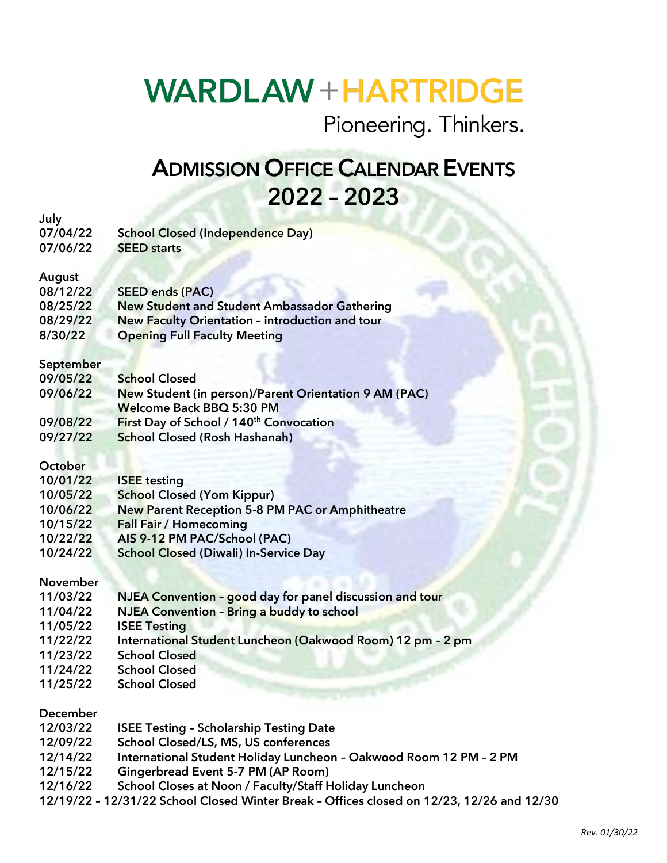## **WARDLAW + HARTRIDGE**

Pioneering. Thinkers.

## ADMISSION OFFICE CALENDAR EVENTS 2022 – 2023

| July            |                                                                    |
|-----------------|--------------------------------------------------------------------|
| 07/04/22        | <b>School Closed (Independence Day)</b>                            |
| 07/06/22        | <b>SEED starts</b>                                                 |
|                 |                                                                    |
| August          |                                                                    |
| 08/12/22        | <b>SEED ends (PAC)</b>                                             |
| 08/25/22        | <b>New Student and Student Ambassador Gathering</b>                |
| 08/29/22        | New Faculty Orientation - introduction and tour                    |
| 8/30/22         | <b>Opening Full Faculty Meeting</b>                                |
|                 |                                                                    |
| September       |                                                                    |
| 09/05/22        | <b>School Closed</b>                                               |
| 09/06/22        | <b>New Student (in person)/Parent Orientation 9 AM (PAC)</b>       |
|                 | <b>Welcome Back BBQ 5:30 PM</b>                                    |
| 09/08/22        | First Day of School / 140 <sup>th</sup> Convocation                |
| 09/27/22        | <b>School Closed (Rosh Hashanah)</b>                               |
| October         |                                                                    |
| 10/01/22        | <b>ISEE</b> testing                                                |
| 10/05/22        | <b>School Closed (Yom Kippur)</b>                                  |
| 10/06/22        | <b>New Parent Reception 5-8 PM PAC or Amphitheatre</b>             |
| 10/15/22        | <b>Fall Fair / Homecoming</b>                                      |
| 10/22/22        | AIS 9-12 PM PAC/School (PAC)                                       |
| 10/24/22        | <b>School Closed (Diwali) In-Service Day</b>                       |
|                 |                                                                    |
| <b>November</b> |                                                                    |
| 11/03/22        | NJEA Convention - good day for panel discussion and tour           |
| 11/04/22        | <b>NJEA Convention - Bring a buddy to school</b>                   |
| 11/05/22        | <b>ISEE Testing</b>                                                |
| 11/22/22        | International Student Luncheon (Oakwood Room) 12 pm - 2 pm         |
| 11/23/22        | <b>School Closed</b>                                               |
| 11/24/22        | <b>School Closed</b>                                               |
| 11/25/22        | <b>School Closed</b>                                               |
| December        |                                                                    |
| 12/03/22        | <b>ISEE Testing - Scholarship Testing Date</b>                     |
| 12/09/22        | School Closed/LS, MS, US conferences                               |
| 12/14/22        | International Student Holiday Luncheon - Oakwood Room 12 PM - 2 PM |
| 12/15/22        | <b>Gingerbread Event 5-7 PM (AP Room)</b>                          |
| 10111100        | see at Neem / Feeultr/Cteff Uskident unde                          |

- 12/16/22 School Closes at Noon / Faculty/Staff Holiday Luncheon
- 12/19/22 12/31/22 School Closed Winter Break Offices closed on 12/23, 12/26 and 12/30